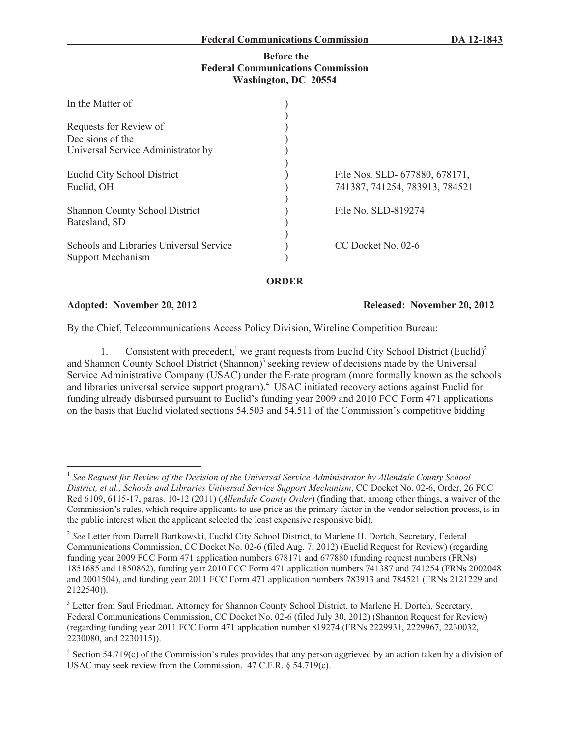## **Before the Federal Communications Commission Washington, DC 20554**

| In the Matter of                        |                     |                                |
|-----------------------------------------|---------------------|--------------------------------|
|                                         |                     |                                |
| Requests for Review of                  |                     |                                |
| Decisions of the                        |                     |                                |
| Universal Service Administrator by      |                     |                                |
| Euclid City School District             |                     | File Nos. SLD- 677880, 678171, |
| Euclid, OH                              |                     | 741387, 741254, 783913, 784521 |
| <b>Shannon County School District</b>   | File No. SLD-819274 |                                |
| Batesland, SD                           |                     |                                |
| Schools and Libraries Universal Service | CC Docket No. 02-6  |                                |
| Support Mechanism                       |                     |                                |
|                                         |                     |                                |

**ORDER**

**Adopted: November 20, 2012 Released: November 20, 2012**

By the Chief, Telecommunications Access Policy Division, Wireline Competition Bureau:

1. Consistent with precedent,<sup>1</sup> we grant requests from Euclid City School District (Euclid)<sup>2</sup> and Shannon County School District (Shannon)<sup>3</sup> seeking review of decisions made by the Universal Service Administrative Company (USAC) under the E-rate program (more formally known as the schools and libraries universal service support program).<sup>4</sup> USAC initiated recovery actions against Euclid for funding already disbursed pursuant to Euclid's funding year 2009 and 2010 FCC Form 471 applications on the basis that Euclid violated sections 54.503 and 54.511 of the Commission's competitive bidding

<sup>&</sup>lt;sup>1</sup> See Request for Review of the Decision of the Universal Service Administrator by Allendale County School *District, et al., Schools and Libraries Universal Service Support Mechanism*, CC Docket No. 02-6, Order, 26 FCC Rcd 6109, 6115-17, paras. 10-12 (2011) (*Allendale County Order*) (finding that, among other things, a waiver of the Commission's rules, which require applicants to use price as the primary factor in the vendor selection process, is in the public interest when the applicant selected the least expensive responsive bid).

<sup>2</sup> *See* Letter from Darrell Bartkowski, Euclid City School District, to Marlene H. Dortch, Secretary, Federal Communications Commission, CC Docket No. 02-6 (filed Aug. 7, 2012) (Euclid Request for Review) (regarding funding year 2009 FCC Form 471 application numbers 678171 and 677880 (funding request numbers (FRNs) 1851685 and 1850862), funding year 2010 FCC Form 471 application numbers 741387 and 741254 (FRNs 2002048 and 2001504), and funding year 2011 FCC Form 471 application numbers 783913 and 784521 (FRNs 2121229 and 2122540)).

<sup>&</sup>lt;sup>3</sup> Letter from Saul Friedman, Attorney for Shannon County School District, to Marlene H. Dortch, Secretary, Federal Communications Commission, CC Docket No. 02-6 (filed July 30, 2012) (Shannon Request for Review) (regarding funding year 2011 FCC Form 471 application number 819274 (FRNs 2229931, 2229967, 2230032, 2230080, and 2230115)).

<sup>&</sup>lt;sup>4</sup> Section 54.719(c) of the Commission's rules provides that any person aggrieved by an action taken by a division of USAC may seek review from the Commission. 47 C.F.R. § 54.719(c).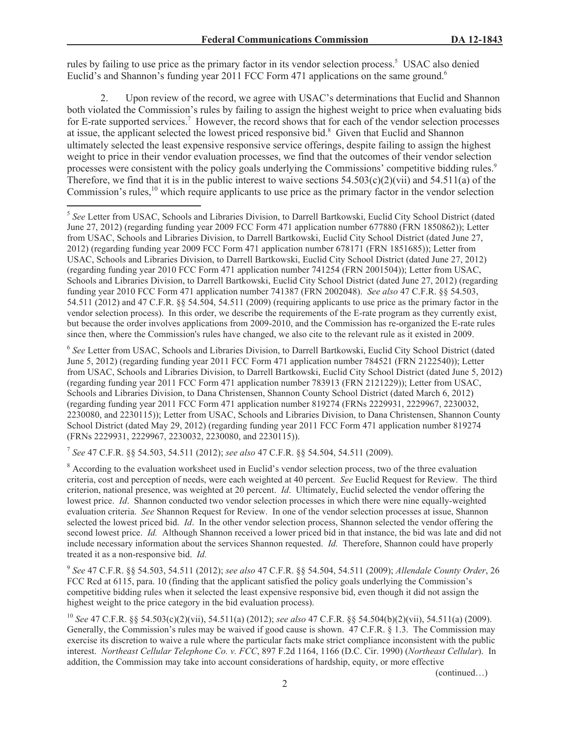rules by failing to use price as the primary factor in its vendor selection process.<sup>5</sup> USAC also denied Euclid's and Shannon's funding year 2011 FCC Form 471 applications on the same ground.<sup>6</sup>

2. Upon review of the record, we agree with USAC's determinations that Euclid and Shannon both violated the Commission's rules by failing to assign the highest weight to price when evaluating bids for E-rate supported services.<sup>7</sup> However, the record shows that for each of the vendor selection processes at issue, the applicant selected the lowest priced responsive bid.<sup>8</sup> Given that Euclid and Shannon ultimately selected the least expensive responsive service offerings, despite failing to assign the highest weight to price in their vendor evaluation processes, we find that the outcomes of their vendor selection processes were consistent with the policy goals underlying the Commissions' competitive bidding rules.<sup>9</sup> Therefore, we find that it is in the public interest to waive sections  $54.503(c)(2)(vi)$  and  $54.511(a)$  of the Commission's rules,<sup>10</sup> which require applicants to use price as the primary factor in the vendor selection

6 *See* Letter from USAC, Schools and Libraries Division, to Darrell Bartkowski, Euclid City School District (dated June 5, 2012) (regarding funding year 2011 FCC Form 471 application number 784521 (FRN 2122540)); Letter from USAC, Schools and Libraries Division, to Darrell Bartkowski, Euclid City School District (dated June 5, 2012) (regarding funding year 2011 FCC Form 471 application number 783913 (FRN 2121229)); Letter from USAC, Schools and Libraries Division, to Dana Christensen, Shannon County School District (dated March 6, 2012) (regarding funding year 2011 FCC Form 471 application number 819274 (FRNs 2229931, 2229967, 2230032, 2230080, and 2230115)); Letter from USAC, Schools and Libraries Division, to Dana Christensen, Shannon County School District (dated May 29, 2012) (regarding funding year 2011 FCC Form 471 application number 819274 (FRNs 2229931, 2229967, 2230032, 2230080, and 2230115)).

7 *See* 47 C.F.R. §§ 54.503, 54.511 (2012); *see also* 47 C.F.R. §§ 54.504, 54.511 (2009).

<sup>8</sup> According to the evaluation worksheet used in Euclid's vendor selection process, two of the three evaluation criteria, cost and perception of needs, were each weighted at 40 percent. *See* Euclid Request for Review. The third criterion, national presence, was weighted at 20 percent. *Id*. Ultimately, Euclid selected the vendor offering the lowest price. *Id*. Shannon conducted two vendor selection processes in which there were nine equally-weighted evaluation criteria. *See* Shannon Request for Review. In one of the vendor selection processes at issue, Shannon selected the lowest priced bid. *Id*. In the other vendor selection process, Shannon selected the vendor offering the second lowest price. *Id.* Although Shannon received a lower priced bid in that instance, the bid was late and did not include necessary information about the services Shannon requested. *Id.* Therefore, Shannon could have properly treated it as a non-responsive bid. *Id.*

9 *See* 47 C.F.R. §§ 54.503, 54.511 (2012); *see also* 47 C.F.R. §§ 54.504, 54.511 (2009); *Allendale County Order*, 26 FCC Rcd at 6115, para. 10 (finding that the applicant satisfied the policy goals underlying the Commission's competitive bidding rules when it selected the least expensive responsive bid, even though it did not assign the highest weight to the price category in the bid evaluation process).

<sup>10</sup> *See* 47 C.F.R. §§ 54.503(c)(2)(vii), 54.511(a) (2012); *see also* 47 C.F.R. §§ 54.504(b)(2)(vii), 54.511(a) (2009). Generally, the Commission's rules may be waived if good cause is shown. 47 C.F.R. § 1.3. The Commission may exercise its discretion to waive a rule where the particular facts make strict compliance inconsistent with the public interest. *Northeast Cellular Telephone Co. v. FCC*, 897 F.2d 1164, 1166 (D.C. Cir. 1990) (*Northeast Cellular*). In addition, the Commission may take into account considerations of hardship, equity, or more effective

(continued…)

<sup>5</sup> *See* Letter from USAC, Schools and Libraries Division, to Darrell Bartkowski, Euclid City School District (dated June 27, 2012) (regarding funding year 2009 FCC Form 471 application number 677880 (FRN 1850862)); Letter from USAC, Schools and Libraries Division, to Darrell Bartkowski, Euclid City School District (dated June 27, 2012) (regarding funding year 2009 FCC Form 471 application number 678171 (FRN 1851685)); Letter from USAC, Schools and Libraries Division, to Darrell Bartkowski, Euclid City School District (dated June 27, 2012) (regarding funding year 2010 FCC Form 471 application number 741254 (FRN 2001504)); Letter from USAC, Schools and Libraries Division, to Darrell Bartkowski, Euclid City School District (dated June 27, 2012) (regarding funding year 2010 FCC Form 471 application number 741387 (FRN 2002048). *See also* 47 C.F.R. §§ 54.503, 54.511 (2012) and 47 C.F.R. §§ 54.504, 54.511 (2009) (requiring applicants to use price as the primary factor in the vendor selection process). In this order, we describe the requirements of the E-rate program as they currently exist, but because the order involves applications from 2009-2010, and the Commission has re-organized the E-rate rules since then, where the Commission's rules have changed, we also cite to the relevant rule as it existed in 2009.